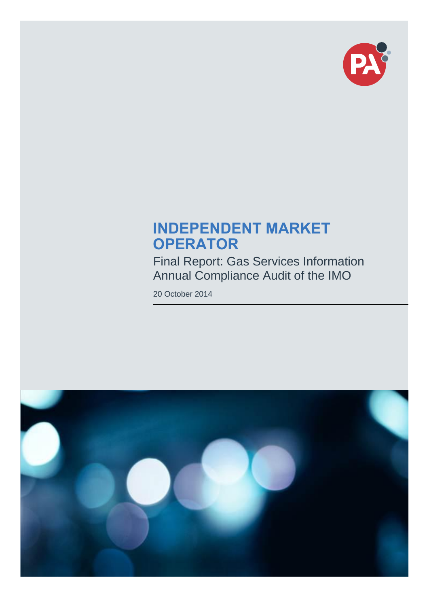

# **INDEPENDENT MARKET OPERATOR**

Final Report: Gas Services Information Annual Compliance Audit of the IMO

20 October 2014

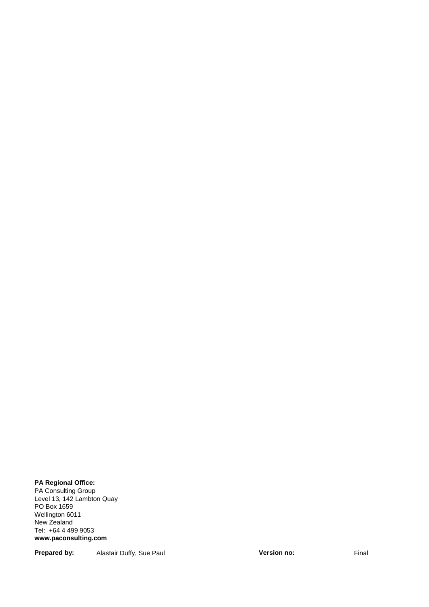#### **PA Regional Office:**

PA Consulting Group Level 13, 142 Lambton Quay PO Box 1659 Wellington 6011 New Zealand Tel: +64 4 499 9053 **www.paconsulting.com**

#### **Prepared by:** Alastair Duffy, Sue Paul **Version no:** Final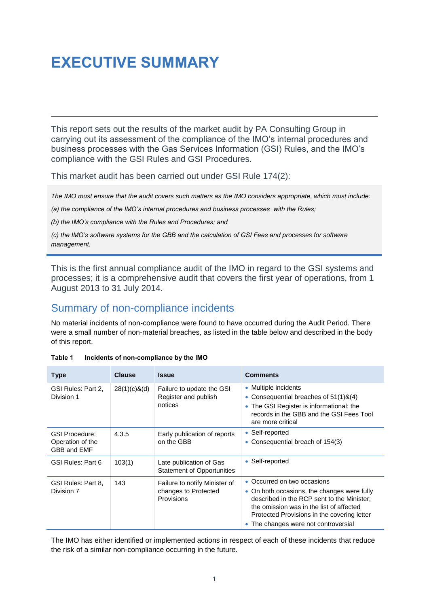# <span id="page-2-0"></span>**EXECUTIVE SUMMARY**

This report sets out the results of the market audit by PA Consulting Group in carrying out its assessment of the compliance of the IMO's internal procedures and business processes with the Gas Services Information (GSI) Rules, and the IMO's compliance with the GSI Rules and GSI Procedures.

This market audit has been carried out under GSI Rule 174(2):

*The IMO must ensure that the audit covers such matters as the IMO considers appropriate, which must include:*

*(a) the compliance of the IMO's internal procedures and business processes with the Rules;*

*(b) the IMO's compliance with the Rules and Procedures; and*

*(c) the IMO's software systems for the GBB and the calculation of GSI Fees and processes for software management.*

This is the first annual compliance audit of the IMO in regard to the GSI systems and processes; it is a comprehensive audit that covers the first year of operations, from 1 August 2013 to 31 July 2014.

## <span id="page-2-1"></span>Summary of non-compliance incidents

No material incidents of non-compliance were found to have occurred during the Audit Period. There were a small number of non-material breaches, as listed in the table below and described in the body of this report.

| <b>Type</b>                                              | <b>Clause</b>   | <i><b>Issue</b></i>                                                 | <b>Comments</b>                                                                                                                                                                                                                                             |
|----------------------------------------------------------|-----------------|---------------------------------------------------------------------|-------------------------------------------------------------------------------------------------------------------------------------------------------------------------------------------------------------------------------------------------------------|
| GSI Rules: Part 2.<br>Division 1                         | $28(1)(c)$ &(d) | Failure to update the GSI<br>Register and publish<br>notices        | • Multiple incidents<br>• Consequential breaches of $51(1)8(4)$<br>• The GSI Register is informational; the<br>records in the GBB and the GSI Fees Tool<br>are more critical                                                                                |
| <b>GSI Procedure:</b><br>Operation of the<br>GBB and EMF | 4.3.5           | Early publication of reports<br>on the GBB                          | • Self-reported<br>• Consequential breach of 154(3)                                                                                                                                                                                                         |
| GSI Rules: Part 6                                        | 103(1)          | Late publication of Gas<br><b>Statement of Opportunities</b>        | • Self-reported                                                                                                                                                                                                                                             |
| GSI Rules: Part 8.<br>Division 7                         | 143             | Failure to notify Minister of<br>changes to Protected<br>Provisions | • Occurred on two occasions<br>• On both occasions, the changes were fully<br>described in the RCP sent to the Minister;<br>the omission was in the list of affected<br>Protected Provisions in the covering letter<br>• The changes were not controversial |

<span id="page-2-2"></span>

| Table 1 | Incidents of non-compliance by the IMO |  |  |
|---------|----------------------------------------|--|--|
|         |                                        |  |  |

The IMO has either identified or implemented actions in respect of each of these incidents that reduce the risk of a similar non-compliance occurring in the future.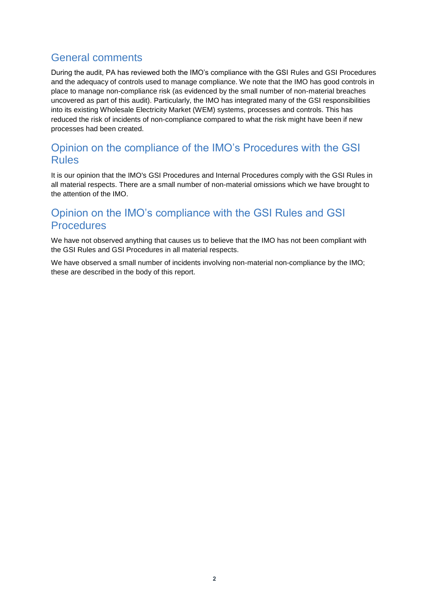## <span id="page-3-0"></span>General comments

During the audit, PA has reviewed both the IMO's compliance with the GSI Rules and GSI Procedures and the adequacy of controls used to manage compliance. We note that the IMO has good controls in place to manage non-compliance risk (as evidenced by the small number of non-material breaches uncovered as part of this audit). Particularly, the IMO has integrated many of the GSI responsibilities into its existing Wholesale Electricity Market (WEM) systems, processes and controls. This has reduced the risk of incidents of non-compliance compared to what the risk might have been if new processes had been created.

## <span id="page-3-1"></span>Opinion on the compliance of the IMO's Procedures with the GSI Rules

It is our opinion that the IMO's GSI Procedures and Internal Procedures comply with the GSI Rules in all material respects. There are a small number of non-material omissions which we have brought to the attention of the IMO.

## <span id="page-3-2"></span>Opinion on the IMO's compliance with the GSI Rules and GSI **Procedures**

We have not observed anything that causes us to believe that the IMO has not been compliant with the GSI Rules and GSI Procedures in all material respects.

We have observed a small number of incidents involving non-material non-compliance by the IMO; these are described in the body of this report.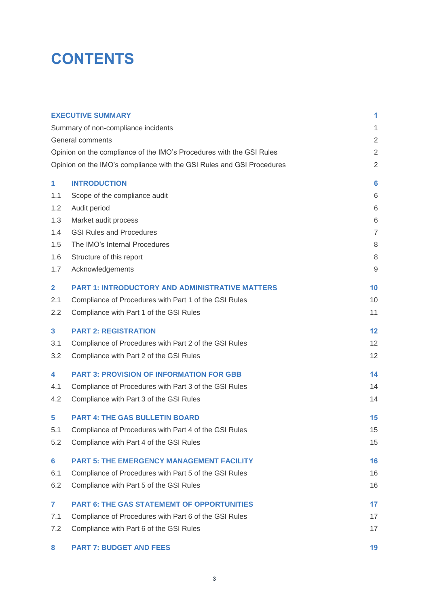# **CONTENTS**

|                | <b>EXECUTIVE SUMMARY</b>                                              | 1              |
|----------------|-----------------------------------------------------------------------|----------------|
|                | Summary of non-compliance incidents                                   | 1              |
|                | General comments                                                      | $\overline{2}$ |
|                | Opinion on the compliance of the IMO's Procedures with the GSI Rules  | $\overline{2}$ |
|                | Opinion on the IMO's compliance with the GSI Rules and GSI Procedures | $\overline{2}$ |
| 1              | <b>INTRODUCTION</b>                                                   | 6              |
| 1.1            | Scope of the compliance audit                                         | 6              |
| 1.2            | Audit period                                                          | 6              |
| 1.3            | Market audit process                                                  | 6              |
| 1.4            | <b>GSI Rules and Procedures</b>                                       | $\overline{7}$ |
| 1.5            | The IMO's Internal Procedures                                         | 8              |
| 1.6            | Structure of this report                                              | $\,8\,$        |
| 1.7            | Acknowledgements                                                      | 9              |
| $\mathbf{2}$   | <b>PART 1: INTRODUCTORY AND ADMINISTRATIVE MATTERS</b>                | 10             |
| 2.1            | Compliance of Procedures with Part 1 of the GSI Rules                 | 10             |
| 2.2            | Compliance with Part 1 of the GSI Rules                               | 11             |
| 3              | <b>PART 2: REGISTRATION</b>                                           | 12             |
| 3.1            | Compliance of Procedures with Part 2 of the GSI Rules                 | 12             |
| 3.2            | Compliance with Part 2 of the GSI Rules                               | 12             |
| 4              | <b>PART 3: PROVISION OF INFORMATION FOR GBB</b>                       | 14             |
| 4.1            | Compliance of Procedures with Part 3 of the GSI Rules                 | 14             |
| 4.2            | Compliance with Part 3 of the GSI Rules                               | 14             |
| 5              | <b>PART 4: THE GAS BULLETIN BOARD</b>                                 | 15             |
| 5.1            | Compliance of Procedures with Part 4 of the GSI Rules                 | 15             |
| 5.2            | Compliance with Part 4 of the GSI Rules                               | 15             |
| $6\phantom{a}$ | <b>PART 5: THE EMERGENCY MANAGEMENT FACILITY</b>                      | 16             |
| 6.1            | Compliance of Procedures with Part 5 of the GSI Rules                 | 16             |
| 6.2            | Compliance with Part 5 of the GSI Rules                               | 16             |
| $\mathbf{7}$   | <b>PART 6: THE GAS STATEMEMT OF OPPORTUNITIES</b>                     | 17             |
| 7.1            | Compliance of Procedures with Part 6 of the GSI Rules                 | 17             |
| 7.2            | Compliance with Part 6 of the GSI Rules                               | 17             |
| 8              | <b>PART 7: BUDGET AND FEES</b>                                        | 19             |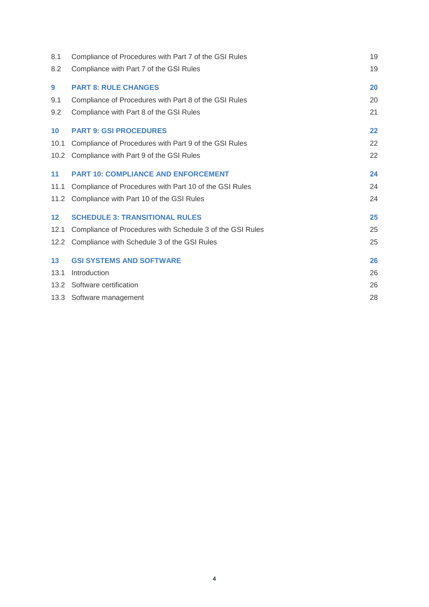| Compliance of Procedures with Part 7 of the GSI Rules     | 19 |
|-----------------------------------------------------------|----|
| Compliance with Part 7 of the GSI Rules                   | 19 |
| <b>PART 8: RULE CHANGES</b>                               | 20 |
| Compliance of Procedures with Part 8 of the GSI Rules     | 20 |
| Compliance with Part 8 of the GSI Rules                   | 21 |
| <b>PART 9: GSI PROCEDURES</b>                             | 22 |
| Compliance of Procedures with Part 9 of the GSI Rules     | 22 |
| 10.2<br>Compliance with Part 9 of the GSI Rules           | 22 |
| <b>PART 10: COMPLIANCE AND ENFORCEMENT</b>                | 24 |
| Compliance of Procedures with Part 10 of the GSI Rules    | 24 |
| 11.2<br>Compliance with Part 10 of the GSI Rules          | 24 |
| <b>SCHEDULE 3: TRANSITIONAL RULES</b>                     | 25 |
| Compliance of Procedures with Schedule 3 of the GSI Rules | 25 |
| Compliance with Schedule 3 of the GSI Rules<br>12.2       | 25 |
| <b>GSI SYSTEMS AND SOFTWARE</b>                           | 26 |
| Introduction                                              | 26 |
| 13.2 Software certification                               | 26 |
| 13.3 Software management                                  | 28 |
|                                                           |    |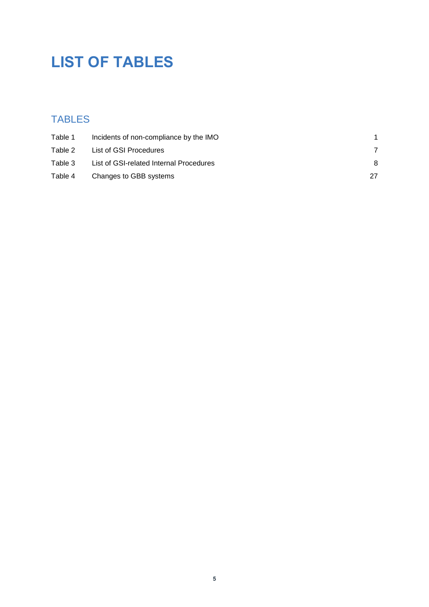# **LIST OF TABLES**

# TABLES

| Table 1 | Incidents of non-compliance by the IMO  |    |
|---------|-----------------------------------------|----|
| Table 2 | List of GSI Procedures                  |    |
| Table 3 | List of GSI-related Internal Procedures | 8  |
| Table 4 | Changes to GBB systems                  | 27 |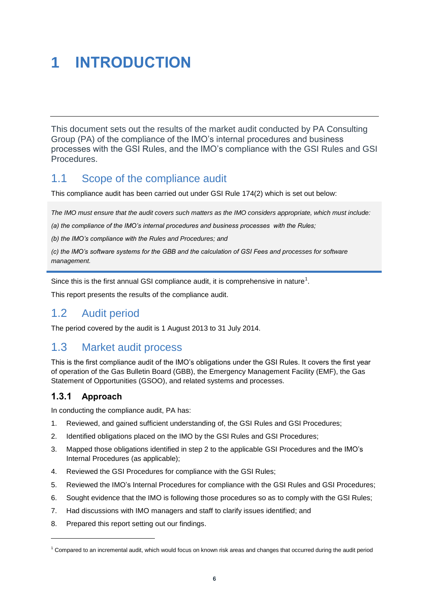# <span id="page-7-0"></span>**1 INTRODUCTION**

This document sets out the results of the market audit conducted by PA Consulting Group (PA) of the compliance of the IMO's internal procedures and business processes with the GSI Rules, and the IMO's compliance with the GSI Rules and GSI Procedures.

## <span id="page-7-1"></span>1.1 Scope of the compliance audit

This compliance audit has been carried out under GSI Rule 174(2) which is set out below:

*The IMO must ensure that the audit covers such matters as the IMO considers appropriate, which must include:*

*(a) the compliance of the IMO's internal procedures and business processes with the Rules;*

*(b) the IMO's compliance with the Rules and Procedures; and*

*(c) the IMO's software systems for the GBB and the calculation of GSI Fees and processes for software management.*

Since this is the first annual GSI compliance audit, it is comprehensive in nature<sup>1</sup>.

This report presents the results of the compliance audit.

## <span id="page-7-2"></span>1.2 Audit period

The period covered by the audit is 1 August 2013 to 31 July 2014.

## <span id="page-7-3"></span>1.3 Market audit process

This is the first compliance audit of the IMO's obligations under the GSI Rules. It covers the first year of operation of the Gas Bulletin Board (GBB), the Emergency Management Facility (EMF), the Gas Statement of Opportunities (GSOO), and related systems and processes.

### **1.3.1 Approach**

l

In conducting the compliance audit, PA has:

- 1. Reviewed, and gained sufficient understanding of, the GSI Rules and GSI Procedures;
- 2. Identified obligations placed on the IMO by the GSI Rules and GSI Procedures;
- 3. Mapped those obligations identified in step 2 to the applicable GSI Procedures and the IMO's Internal Procedures (as applicable);
- 4. Reviewed the GSI Procedures for compliance with the GSI Rules;
- 5. Reviewed the IMO's Internal Procedures for compliance with the GSI Rules and GSI Procedures;
- 6. Sought evidence that the IMO is following those procedures so as to comply with the GSI Rules;
- 7. Had discussions with IMO managers and staff to clarify issues identified; and
- 8. Prepared this report setting out our findings.

 $1$  Compared to an incremental audit, which would focus on known risk areas and changes that occurred during the audit period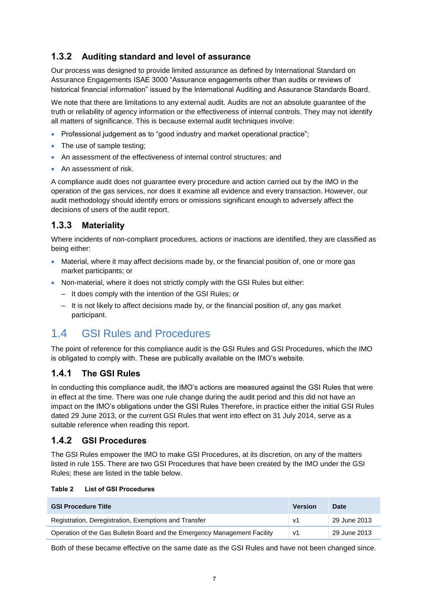## <span id="page-8-2"></span>**1.3.2 Auditing standard and level of assurance**

Our process was designed to provide limited assurance as defined by International Standard on Assurance Engagements ISAE 3000 "Assurance engagements other than audits or reviews of historical financial information" issued by the International Auditing and Assurance Standards Board.

We note that there are limitations to any external audit. Audits are not an absolute guarantee of the truth or reliability of agency information or the effectiveness of internal controls. They may not identify all matters of significance. This is because external audit techniques involve:

- Professional judgement as to "good industry and market operational practice";
- The use of sample testing;
- An assessment of the effectiveness of internal control structures; and
- **An assessment of risk.**

A compliance audit does not guarantee every procedure and action carried out by the IMO in the operation of the gas services, nor does it examine all evidence and every transaction. However, our audit methodology should identify errors or omissions significant enough to adversely affect the decisions of users of the audit report.

### **1.3.3 Materiality**

Where incidents of non-compliant procedures, actions or inactions are identified, they are classified as being either:

- Material, where it may affect decisions made by, or the financial position of, one or more gas market participants; or
- Non-material, where it does not strictly comply with the GSI Rules but either:
	- It does comply with the intention of the GSI Rules; or
	- It is not likely to affect decisions made by, or the financial position of, any gas market participant.

# <span id="page-8-0"></span>1.4 GSI Rules and Procedures

The point of reference for this compliance audit is the GSI Rules and GSI Procedures, which the IMO is obligated to comply with. These are publically available on the IMO's website.

### **1.4.1 The GSI Rules**

In conducting this compliance audit, the IMO's actions are measured against the GSI Rules that were in effect at the time. There was one rule change during the audit period and this did not have an impact on the IMO's obligations under the GSI Rules Therefore, in practice either the initial GSI Rules dated 29 June 2013, or the current GSI Rules that went into effect on 31 July 2014, serve as a suitable reference when reading this report.

### **1.4.2 GSI Procedures**

The GSI Rules empower the IMO to make GSI Procedures, at its discretion, on any of the matters listed in rule 155. There are two GSI Procedures that have been created by the IMO under the GSI Rules; these are listed in the table below.

<span id="page-8-1"></span>

|  | Table 2 |  | <b>List of GSI Procedures</b> |
|--|---------|--|-------------------------------|
|--|---------|--|-------------------------------|

| <b>GSI Procedure Title</b>                                                | <b>Version</b> | <b>Date</b>  |
|---------------------------------------------------------------------------|----------------|--------------|
| Registration, Deregistration, Exemptions and Transfer                     | v1             | 29 June 2013 |
| Operation of the Gas Bulletin Board and the Emergency Management Facility | V <sub>1</sub> | 29 June 2013 |

Both of these became effective on the same date as the GSI Rules and have not been changed since.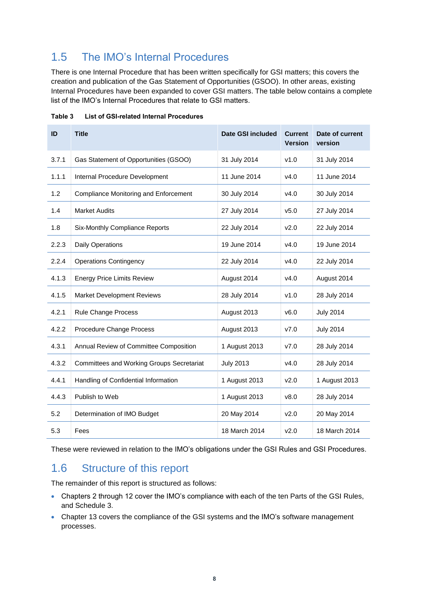# <span id="page-9-0"></span>1.5 The IMO's Internal Procedures

There is one Internal Procedure that has been written specifically for GSI matters; this covers the creation and publication of the Gas Statement of Opportunities (GSOO). In other areas, existing Internal Procedures have been expanded to cover GSI matters. The table below contains a complete list of the IMO's Internal Procedures that relate to GSI matters.

| ID    | <b>Title</b>                                     | <b>Date GSI included</b> | <b>Current</b><br><b>Version</b> | Date of current<br>version |
|-------|--------------------------------------------------|--------------------------|----------------------------------|----------------------------|
| 3.7.1 | Gas Statement of Opportunities (GSOO)            | 31 July 2014             | v1.0                             | 31 July 2014               |
| 1.1.1 | Internal Procedure Development                   | 11 June 2014             | v4.0                             | 11 June 2014               |
| 1.2   | Compliance Monitoring and Enforcement            | 30 July 2014             | v4.0                             | 30 July 2014               |
| 1.4   | <b>Market Audits</b>                             | 27 July 2014             | V <sub>5.0</sub>                 | 27 July 2014               |
| 1.8   | Six-Monthly Compliance Reports                   | 22 July 2014             | V <sub>2.0</sub>                 | 22 July 2014               |
| 2.2.3 | <b>Daily Operations</b>                          | 19 June 2014             | v4.0                             | 19 June 2014               |
| 2.2.4 | <b>Operations Contingency</b>                    | 22 July 2014             | V4.0                             | 22 July 2014               |
| 4.1.3 | <b>Energy Price Limits Review</b>                | August 2014              | V4.0                             | August 2014                |
| 4.1.5 | <b>Market Development Reviews</b>                | 28 July 2014             | v1.0                             | 28 July 2014               |
| 4.2.1 | Rule Change Process                              | August 2013              | v6.0                             | <b>July 2014</b>           |
| 4.2.2 | <b>Procedure Change Process</b>                  | August 2013              | V7.0                             | <b>July 2014</b>           |
| 4.3.1 | Annual Review of Committee Composition           | 1 August 2013            | V7.0                             | 28 July 2014               |
| 4.3.2 | <b>Committees and Working Groups Secretariat</b> | <b>July 2013</b>         | v4.0                             | 28 July 2014               |
| 4.4.1 | Handling of Confidential Information             | 1 August 2013            | v2.0                             | 1 August 2013              |
| 4.4.3 | Publish to Web                                   | 1 August 2013            | v8.0                             | 28 July 2014               |
| 5.2   | Determination of IMO Budget                      | 20 May 2014              | v2.0                             | 20 May 2014                |
| 5.3   | Fees                                             | 18 March 2014            | v2.0                             | 18 March 2014              |

<span id="page-9-2"></span>

| Table 3 | <b>List of GSI-related Internal Procedures</b> |  |
|---------|------------------------------------------------|--|
|         |                                                |  |

These were reviewed in relation to the IMO's obligations under the GSI Rules and GSI Procedures.

## <span id="page-9-1"></span>1.6 Structure of this report

The remainder of this report is structured as follows:

- Chapters 2 through 12 cover the IMO's compliance with each of the ten Parts of the GSI Rules, and Schedule 3.
- Chapter 13 covers the compliance of the GSI systems and the IMO's software management processes.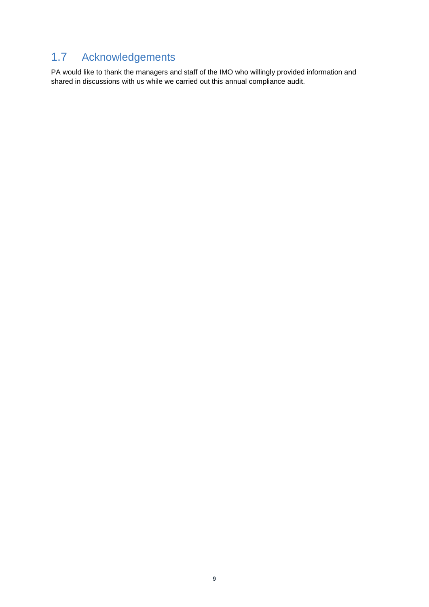# <span id="page-10-0"></span>1.7 Acknowledgements

PA would like to thank the managers and staff of the IMO who willingly provided information and shared in discussions with us while we carried out this annual compliance audit.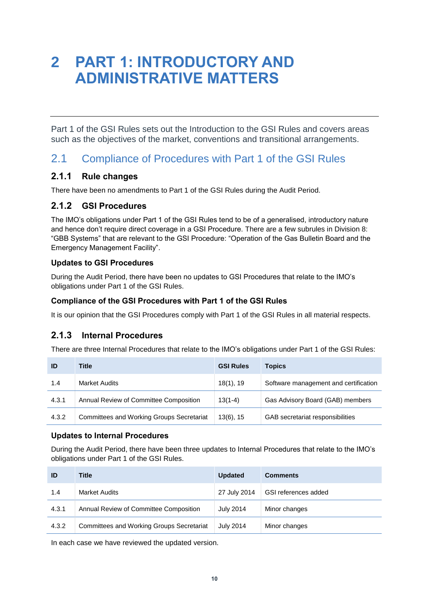# <span id="page-11-0"></span>**2 PART 1: INTRODUCTORY AND ADMINISTRATIVE MATTERS**

Part 1 of the GSI Rules sets out the Introduction to the GSI Rules and covers areas such as the objectives of the market, conventions and transitional arrangements.

## <span id="page-11-1"></span>2.1 Compliance of Procedures with Part 1 of the GSI Rules

#### **2.1.1 Rule changes**

There have been no amendments to Part 1 of the GSI Rules during the Audit Period.

### **2.1.2 GSI Procedures**

The IMO's obligations under Part 1 of the GSI Rules tend to be of a generalised, introductory nature and hence don't require direct coverage in a GSI Procedure. There are a few subrules in Division 8: "GBB Systems" that are relevant to the GSI Procedure: "Operation of the Gas Bulletin Board and the Emergency Management Facility".

#### **Updates to GSI Procedures**

During the Audit Period, there have been no updates to GSI Procedures that relate to the IMO's obligations under Part 1 of the GSI Rules.

#### **Compliance of the GSI Procedures with Part 1 of the GSI Rules**

It is our opinion that the GSI Procedures comply with Part 1 of the GSI Rules in all material respects.

### **2.1.3 Internal Procedures**

There are three Internal Procedures that relate to the IMO's obligations under Part 1 of the GSI Rules:

| ID    | Title                                            | <b>GSI Rules</b> | <b>Topics</b>                         |
|-------|--------------------------------------------------|------------------|---------------------------------------|
| 1.4   | Market Audits                                    | 18(1), 19        | Software management and certification |
| 4.3.1 | Annual Review of Committee Composition           | $13(1-4)$        | Gas Advisory Board (GAB) members      |
| 4.3.2 | <b>Committees and Working Groups Secretariat</b> | 13(6), 15        | GAB secretariat responsibilities      |

#### **Updates to Internal Procedures**

During the Audit Period, there have been three updates to Internal Procedures that relate to the IMO's obligations under Part 1 of the GSI Rules.

| ID    | Title                                            | <b>Updated</b>   | <b>Comments</b>      |
|-------|--------------------------------------------------|------------------|----------------------|
| 1.4   | <b>Market Audits</b>                             | 27 July 2014     | GSI references added |
| 4.3.1 | Annual Review of Committee Composition           | <b>July 2014</b> | Minor changes        |
| 4.3.2 | <b>Committees and Working Groups Secretariat</b> | <b>July 2014</b> | Minor changes        |

In each case we have reviewed the updated version.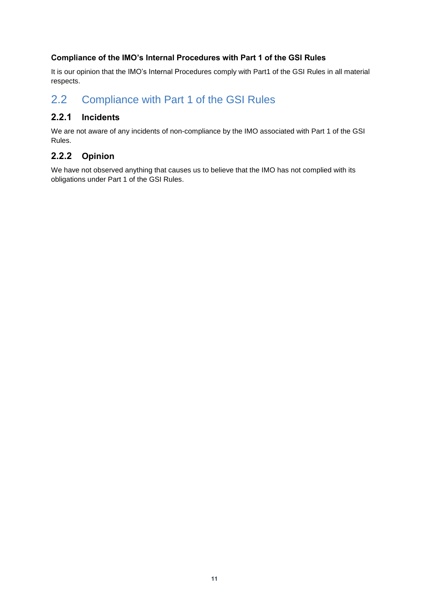#### **Compliance of the IMO's Internal Procedures with Part 1 of the GSI Rules**

It is our opinion that the IMO's Internal Procedures comply with Part1 of the GSI Rules in all material respects.

## <span id="page-12-0"></span>2.2 Compliance with Part 1 of the GSI Rules

### **2.2.1 Incidents**

We are not aware of any incidents of non-compliance by the IMO associated with Part 1 of the GSI Rules.

## **2.2.2 Opinion**

We have not observed anything that causes us to believe that the IMO has not complied with its obligations under Part 1 of the GSI Rules.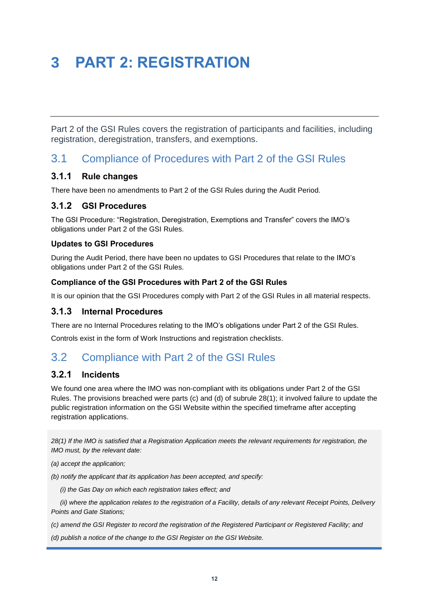# <span id="page-13-0"></span>**3 PART 2: REGISTRATION**

Part 2 of the GSI Rules covers the registration of participants and facilities, including registration, deregistration, transfers, and exemptions.

## <span id="page-13-1"></span>3.1 Compliance of Procedures with Part 2 of the GSI Rules

#### **3.1.1 Rule changes**

There have been no amendments to Part 2 of the GSI Rules during the Audit Period.

#### **3.1.2 GSI Procedures**

The GSI Procedure: "Registration, Deregistration, Exemptions and Transfer" covers the IMO's obligations under Part 2 of the GSI Rules.

#### **Updates to GSI Procedures**

During the Audit Period, there have been no updates to GSI Procedures that relate to the IMO's obligations under Part 2 of the GSI Rules.

#### **Compliance of the GSI Procedures with Part 2 of the GSI Rules**

It is our opinion that the GSI Procedures comply with Part 2 of the GSI Rules in all material respects.

#### **3.1.3 Internal Procedures**

There are no Internal Procedures relating to the IMO's obligations under Part 2 of the GSI Rules.

Controls exist in the form of Work Instructions and registration checklists.

# <span id="page-13-2"></span>3.2 Compliance with Part 2 of the GSI Rules

#### **3.2.1 Incidents**

We found one area where the IMO was non-compliant with its obligations under Part 2 of the GSI Rules. The provisions breached were parts (c) and (d) of subrule 28(1); it involved failure to update the public registration information on the GSI Website within the specified timeframe after accepting registration applications.

*28(1) If the IMO is satisfied that a Registration Application meets the relevant requirements for registration, the IMO must, by the relevant date:*

*(a) accept the application;*

*(b) notify the applicant that its application has been accepted, and specify:*

 *(i) the Gas Day on which each registration takes effect; and*

 *(ii) where the application relates to the registration of a Facility, details of any relevant Receipt Points, Delivery Points and Gate Stations;*

*(c) amend the GSI Register to record the registration of the Registered Participant or Registered Facility; and*

*(d) publish a notice of the change to the GSI Register on the GSI Website.*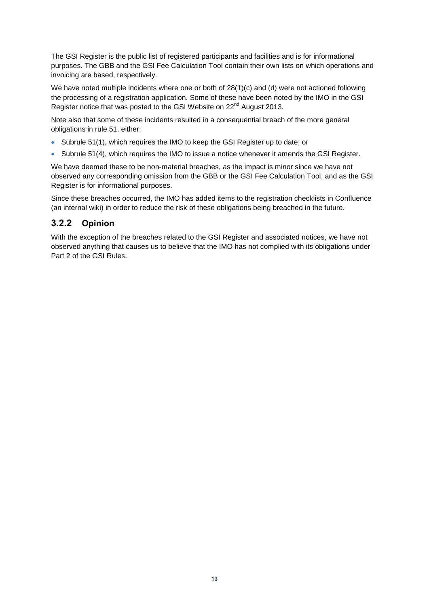The GSI Register is the public list of registered participants and facilities and is for informational purposes. The GBB and the GSI Fee Calculation Tool contain their own lists on which operations and invoicing are based, respectively.

We have noted multiple incidents where one or both of 28(1)(c) and (d) were not actioned following the processing of a registration application. Some of these have been noted by the IMO in the GSI Register notice that was posted to the GSI Website on 22<sup>nd</sup> August 2013.

Note also that some of these incidents resulted in a consequential breach of the more general obligations in rule 51, either:

- Subrule 51(1), which requires the IMO to keep the GSI Register up to date; or
- Subrule 51(4), which requires the IMO to issue a notice whenever it amends the GSI Register.

We have deemed these to be non-material breaches, as the impact is minor since we have not observed any corresponding omission from the GBB or the GSI Fee Calculation Tool, and as the GSI Register is for informational purposes.

Since these breaches occurred, the IMO has added items to the registration checklists in Confluence (an internal wiki) in order to reduce the risk of these obligations being breached in the future.

#### **3.2.2 Opinion**

With the exception of the breaches related to the GSI Register and associated notices, we have not observed anything that causes us to believe that the IMO has not complied with its obligations under Part 2 of the GSI Rules.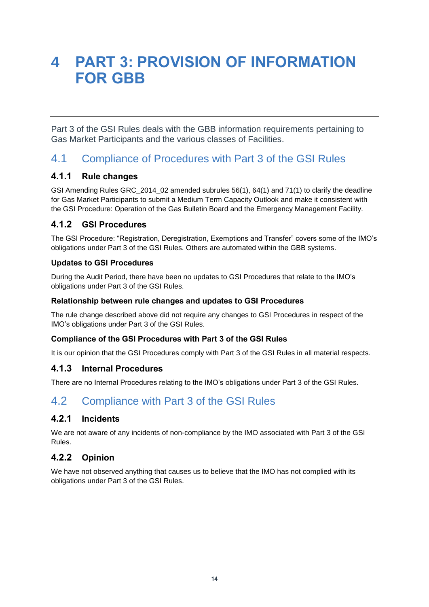# <span id="page-15-0"></span>**4 PART 3: PROVISION OF INFORMATION FOR GBB**

Part 3 of the GSI Rules deals with the GBB information requirements pertaining to Gas Market Participants and the various classes of Facilities.

# <span id="page-15-1"></span>4.1 Compliance of Procedures with Part 3 of the GSI Rules

#### **4.1.1 Rule changes**

GSI Amending Rules GRC\_2014\_02 amended subrules 56(1), 64(1) and 71(1) to clarify the deadline for Gas Market Participants to submit a Medium Term Capacity Outlook and make it consistent with the GSI Procedure: Operation of the Gas Bulletin Board and the Emergency Management Facility.

### **4.1.2 GSI Procedures**

The GSI Procedure: "Registration, Deregistration, Exemptions and Transfer" covers some of the IMO's obligations under Part 3 of the GSI Rules. Others are automated within the GBB systems.

#### **Updates to GSI Procedures**

During the Audit Period, there have been no updates to GSI Procedures that relate to the IMO's obligations under Part 3 of the GSI Rules.

#### **Relationship between rule changes and updates to GSI Procedures**

The rule change described above did not require any changes to GSI Procedures in respect of the IMO's obligations under Part 3 of the GSI Rules.

#### **Compliance of the GSI Procedures with Part 3 of the GSI Rules**

It is our opinion that the GSI Procedures comply with Part 3 of the GSI Rules in all material respects.

#### **4.1.3 Internal Procedures**

There are no Internal Procedures relating to the IMO's obligations under Part 3 of the GSI Rules.

# <span id="page-15-2"></span>4.2 Compliance with Part 3 of the GSI Rules

### **4.2.1 Incidents**

We are not aware of any incidents of non-compliance by the IMO associated with Part 3 of the GSI Rules.

### **4.2.2 Opinion**

We have not observed anything that causes us to believe that the IMO has not complied with its obligations under Part 3 of the GSI Rules.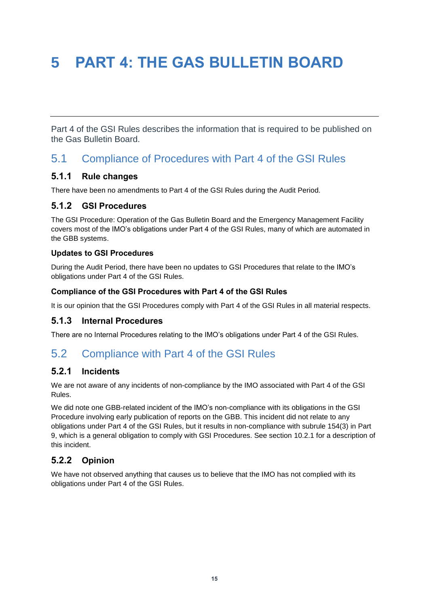# <span id="page-16-0"></span>**5 PART 4: THE GAS BULLETIN BOARD**

Part 4 of the GSI Rules describes the information that is required to be published on the Gas Bulletin Board.

# <span id="page-16-1"></span>5.1 Compliance of Procedures with Part 4 of the GSI Rules

#### **5.1.1 Rule changes**

There have been no amendments to Part 4 of the GSI Rules during the Audit Period.

#### **5.1.2 GSI Procedures**

The GSI Procedure: Operation of the Gas Bulletin Board and the Emergency Management Facility covers most of the IMO's obligations under Part 4 of the GSI Rules, many of which are automated in the GBB systems.

#### **Updates to GSI Procedures**

During the Audit Period, there have been no updates to GSI Procedures that relate to the IMO's obligations under Part 4 of the GSI Rules.

#### **Compliance of the GSI Procedures with Part 4 of the GSI Rules**

It is our opinion that the GSI Procedures comply with Part 4 of the GSI Rules in all material respects.

#### **5.1.3 Internal Procedures**

There are no Internal Procedures relating to the IMO's obligations under Part 4 of the GSI Rules.

## <span id="page-16-2"></span>5.2 Compliance with Part 4 of the GSI Rules

### **5.2.1 Incidents**

We are not aware of any incidents of non-compliance by the IMO associated with Part 4 of the GSI Rules.

We did note one GBB-related incident of the IMO's non-compliance with its obligations in the GSI Procedure involving early publication of reports on the GBB. This incident did not relate to any obligations under Part 4 of the GSI Rules, but it results in non-compliance with subrule 154(3) in Part 9, which is a general obligation to comply with GSI Procedures. See section [10.2.1](#page-23-3) for a description of this incident.

### **5.2.2 Opinion**

We have not observed anything that causes us to believe that the IMO has not complied with its obligations under Part 4 of the GSI Rules.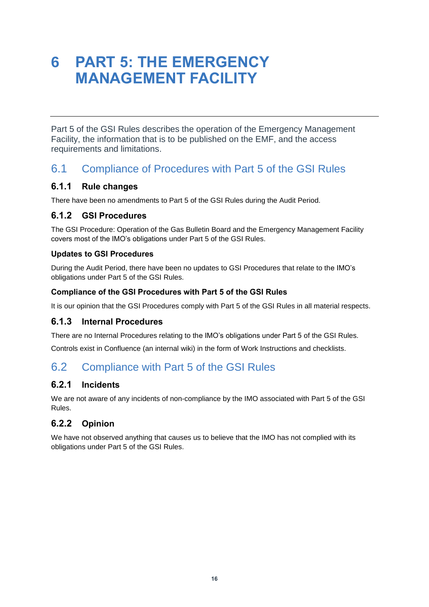# <span id="page-17-0"></span>**6 PART 5: THE EMERGENCY MANAGEMENT FACILITY**

Part 5 of the GSI Rules describes the operation of the Emergency Management Facility, the information that is to be published on the EMF, and the access requirements and limitations.

## <span id="page-17-1"></span>6.1 Compliance of Procedures with Part 5 of the GSI Rules

### **6.1.1 Rule changes**

There have been no amendments to Part 5 of the GSI Rules during the Audit Period.

### **6.1.2 GSI Procedures**

The GSI Procedure: Operation of the Gas Bulletin Board and the Emergency Management Facility covers most of the IMO's obligations under Part 5 of the GSI Rules.

#### **Updates to GSI Procedures**

During the Audit Period, there have been no updates to GSI Procedures that relate to the IMO's obligations under Part 5 of the GSI Rules.

#### **Compliance of the GSI Procedures with Part 5 of the GSI Rules**

It is our opinion that the GSI Procedures comply with Part 5 of the GSI Rules in all material respects.

### **6.1.3 Internal Procedures**

There are no Internal Procedures relating to the IMO's obligations under Part 5 of the GSI Rules.

Controls exist in Confluence (an internal wiki) in the form of Work Instructions and checklists.

## <span id="page-17-2"></span>6.2 Compliance with Part 5 of the GSI Rules

### **6.2.1 Incidents**

We are not aware of any incidents of non-compliance by the IMO associated with Part 5 of the GSI Rules.

## **6.2.2 Opinion**

We have not observed anything that causes us to believe that the IMO has not complied with its obligations under Part 5 of the GSI Rules.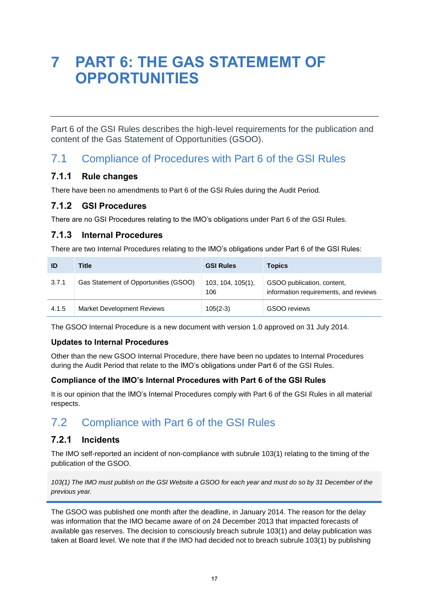# <span id="page-18-0"></span>**7 PART 6: THE GAS STATEMEMT OF OPPORTUNITIES**

Part 6 of the GSI Rules describes the high-level requirements for the publication and content of the Gas Statement of Opportunities (GSOO).

# <span id="page-18-1"></span>7.1 Compliance of Procedures with Part 6 of the GSI Rules

### **7.1.1 Rule changes**

There have been no amendments to Part 6 of the GSI Rules during the Audit Period.

#### **7.1.2 GSI Procedures**

There are no GSI Procedures relating to the IMO's obligations under Part 6 of the GSI Rules.

### **7.1.3 Internal Procedures**

There are two Internal Procedures relating to the IMO's obligations under Part 6 of the GSI Rules:

| ID    | Title                                 | <b>GSI Rules</b>            | <b>Topics</b>                                                       |
|-------|---------------------------------------|-----------------------------|---------------------------------------------------------------------|
| 3.7.1 | Gas Statement of Opportunities (GSOO) | $103, 104, 105(1)$ ,<br>106 | GSOO publication, content,<br>information requirements, and reviews |
| 4.1.5 | <b>Market Development Reviews</b>     | $105(2-3)$                  | GSOO reviews                                                        |

The GSOO Internal Procedure is a new document with version 1.0 approved on 31 July 2014.

#### **Updates to Internal Procedures**

Other than the new GSOO Internal Procedure, there have been no updates to Internal Procedures during the Audit Period that relate to the IMO's obligations under Part 6 of the GSI Rules.

#### **Compliance of the IMO's Internal Procedures with Part 6 of the GSI Rules**

It is our opinion that the IMO's Internal Procedures comply with Part 6 of the GSI Rules in all material respects.

# <span id="page-18-2"></span>7.2 Compliance with Part 6 of the GSI Rules

### **7.2.1 Incidents**

The IMO self-reported an incident of non-compliance with subrule 103(1) relating to the timing of the publication of the GSOO.

*103(1) The IMO must publish on the GSI Website a GSOO for each year and must do so by 31 December of the previous year.*

The GSOO was published one month after the deadline, in January 2014. The reason for the delay was information that the IMO became aware of on 24 December 2013 that impacted forecasts of available gas reserves. The decision to consciously breach subrule 103(1) and delay publication was taken at Board level. We note that if the IMO had decided not to breach subrule 103(1) by publishing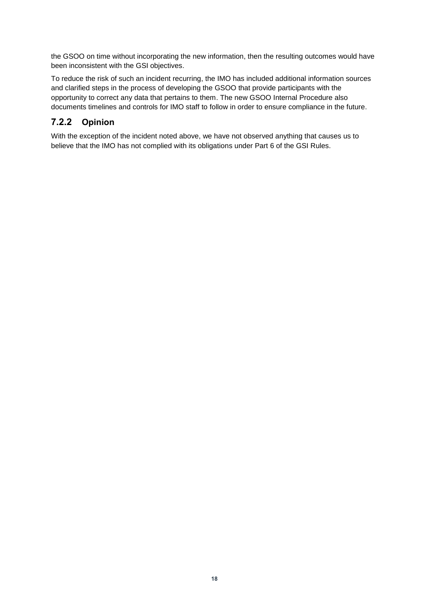the GSOO on time without incorporating the new information, then the resulting outcomes would have been inconsistent with the GSI objectives.

To reduce the risk of such an incident recurring, the IMO has included additional information sources and clarified steps in the process of developing the GSOO that provide participants with the opportunity to correct any data that pertains to them. The new GSOO Internal Procedure also documents timelines and controls for IMO staff to follow in order to ensure compliance in the future.

## **7.2.2 Opinion**

With the exception of the incident noted above, we have not observed anything that causes us to believe that the IMO has not complied with its obligations under Part 6 of the GSI Rules.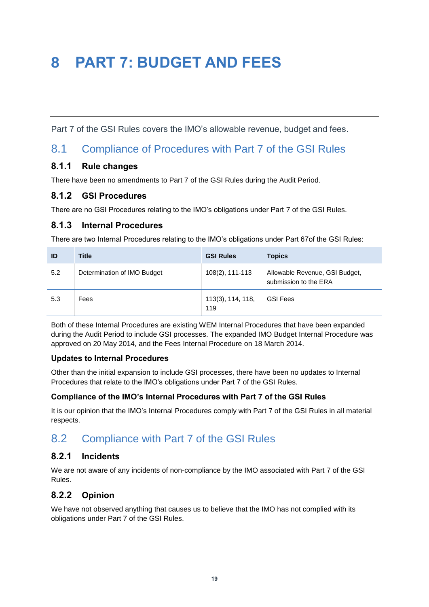# <span id="page-20-0"></span>**8 PART 7: BUDGET AND FEES**

Part 7 of the GSI Rules covers the IMO's allowable revenue, budget and fees.

## <span id="page-20-1"></span>8.1 Compliance of Procedures with Part 7 of the GSI Rules

### **8.1.1 Rule changes**

There have been no amendments to Part 7 of the GSI Rules during the Audit Period.

#### **8.1.2 GSI Procedures**

There are no GSI Procedures relating to the IMO's obligations under Part 7 of the GSI Rules.

#### **8.1.3 Internal Procedures**

There are two Internal Procedures relating to the IMO's obligations under Part 67of the GSI Rules:

| ID  | <b>Title</b>                | <b>GSI Rules</b>         | <b>Topics</b>                                           |
|-----|-----------------------------|--------------------------|---------------------------------------------------------|
| 5.2 | Determination of IMO Budget | 108(2), 111-113          | Allowable Revenue, GSI Budget,<br>submission to the ERA |
| 5.3 | Fees                        | 113(3), 114, 118,<br>119 | <b>GSI Fees</b>                                         |

Both of these Internal Procedures are existing WEM Internal Procedures that have been expanded during the Audit Period to include GSI processes. The expanded IMO Budget Internal Procedure was approved on 20 May 2014, and the Fees Internal Procedure on 18 March 2014.

#### **Updates to Internal Procedures**

Other than the initial expansion to include GSI processes, there have been no updates to Internal Procedures that relate to the IMO's obligations under Part 7 of the GSI Rules.

#### **Compliance of the IMO's Internal Procedures with Part 7 of the GSI Rules**

It is our opinion that the IMO's Internal Procedures comply with Part 7 of the GSI Rules in all material respects.

# <span id="page-20-2"></span>8.2 Compliance with Part 7 of the GSI Rules

#### **8.2.1 Incidents**

We are not aware of any incidents of non-compliance by the IMO associated with Part 7 of the GSI Rules.

### **8.2.2 Opinion**

We have not observed anything that causes us to believe that the IMO has not complied with its obligations under Part 7 of the GSI Rules.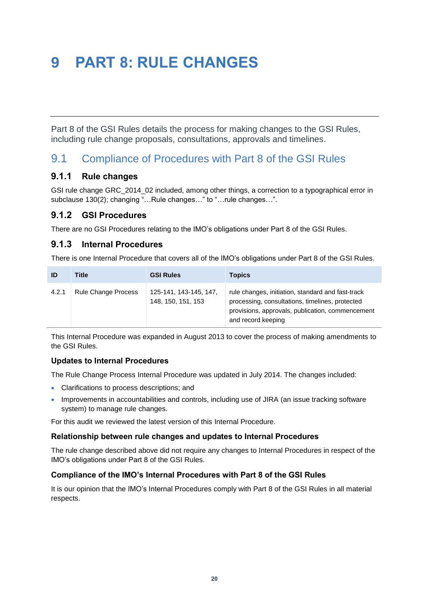# <span id="page-21-0"></span>**9 PART 8: RULE CHANGES**

Part 8 of the GSI Rules details the process for making changes to the GSI Rules, including rule change proposals, consultations, approvals and timelines.

# <span id="page-21-1"></span>9.1 Compliance of Procedures with Part 8 of the GSI Rules

#### **9.1.1 Rule changes**

GSI rule change GRC\_2014\_02 included, among other things, a correction to a typographical error in subclause 130(2); changing "…Rule changes…" to "…rule changes…".

### **9.1.2 GSI Procedures**

There are no GSI Procedures relating to the IMO's obligations under Part 8 of the GSI Rules.

#### **9.1.3 Internal Procedures**

There is one Internal Procedure that covers all of the IMO's obligations under Part 8 of the GSI Rules.

| ID    | Title                      | <b>GSI Rules</b>                             | <b>Topics</b>                                                                                                                                                                  |
|-------|----------------------------|----------------------------------------------|--------------------------------------------------------------------------------------------------------------------------------------------------------------------------------|
| 4.2.1 | <b>Rule Change Process</b> | 125-141, 143-145, 147,<br>148, 150, 151, 153 | rule changes, initiation, standard and fast-track<br>processing, consultations, timelines, protected<br>provisions, approvals, publication, commencement<br>and record keeping |

This Internal Procedure was expanded in August 2013 to cover the process of making amendments to the GSI Rules.

#### **Updates to Internal Procedures**

The Rule Change Process Internal Procedure was updated in July 2014. The changes included:

- Clarifications to process descriptions; and
- Improvements in accountabilities and controls, including use of JIRA (an issue tracking software system) to manage rule changes.

For this audit we reviewed the latest version of this Internal Procedure.

#### **Relationship between rule changes and updates to Internal Procedures**

The rule change described above did not require any changes to Internal Procedures in respect of the IMO's obligations under Part 8 of the GSI Rules.

#### **Compliance of the IMO's Internal Procedures with Part 8 of the GSI Rules**

It is our opinion that the IMO's Internal Procedures comply with Part 8 of the GSI Rules in all material respects.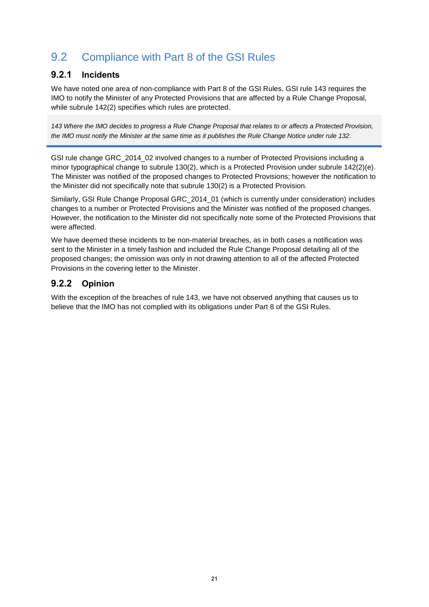# <span id="page-22-0"></span>9.2 Compliance with Part 8 of the GSI Rules

#### **9.2.1 Incidents**

We have noted one area of non-compliance with Part 8 of the GSI Rules. GSI rule 143 requires the IMO to notify the Minister of any Protected Provisions that are affected by a Rule Change Proposal, while subrule 142(2) specifies which rules are protected.

*143 Where the IMO decides to progress a Rule Change Proposal that relates to or affects a Protected Provision, the IMO must notify the Minister at the same time as it publishes the Rule Change Notice under rule 132.*

GSI rule change GRC 2014 02 involved changes to a number of Protected Provisions including a minor typographical change to subrule 130(2), which is a Protected Provision under subrule 142(2)(e). The Minister was notified of the proposed changes to Protected Provisions; however the notification to the Minister did not specifically note that subrule 130(2) is a Protected Provision.

Similarly, GSI Rule Change Proposal GRC\_2014\_01 (which is currently under consideration) includes changes to a number or Protected Provisions and the Minister was notified of the proposed changes. However, the notification to the Minister did not specifically note some of the Protected Provisions that were affected.

We have deemed these incidents to be non-material breaches, as in both cases a notification was sent to the Minister in a timely fashion and included the Rule Change Proposal detailing all of the proposed changes; the omission was only in not drawing attention to all of the affected Protected Provisions in the covering letter to the Minister.

#### **9.2.2 Opinion**

With the exception of the breaches of rule 143, we have not observed anything that causes us to believe that the IMO has not complied with its obligations under Part 8 of the GSI Rules.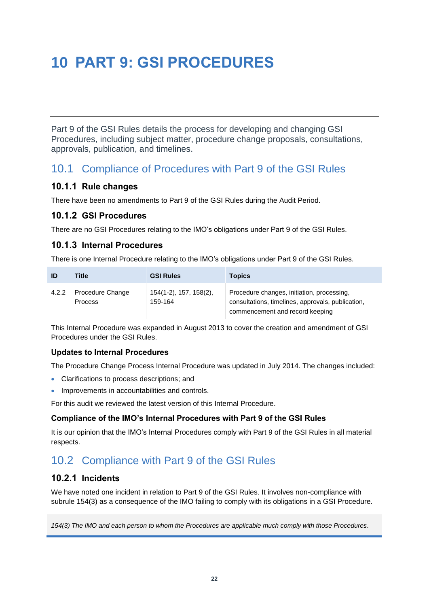# <span id="page-23-0"></span>**10 PART 9: GSI PROCEDURES**

Part 9 of the GSI Rules details the process for developing and changing GSI Procedures, including subject matter, procedure change proposals, consultations, approvals, publication, and timelines.

## <span id="page-23-1"></span>10.1 Compliance of Procedures with Part 9 of the GSI Rules

#### **10.1.1 Rule changes**

There have been no amendments to Part 9 of the GSI Rules during the Audit Period.

#### **10.1.2 GSI Procedures**

There are no GSI Procedures relating to the IMO's obligations under Part 9 of the GSI Rules.

### **10.1.3 Internal Procedures**

There is one Internal Procedure relating to the IMO's obligations under Part 9 of the GSI Rules.

| ID    | Title                              | <b>GSI Rules</b>                  | <b>Topics</b>                                                                                                                      |
|-------|------------------------------------|-----------------------------------|------------------------------------------------------------------------------------------------------------------------------------|
| 4.2.2 | Procedure Change<br><b>Process</b> | 154(1-2), 157, 158(2),<br>159-164 | Procedure changes, initiation, processing,<br>consultations, timelines, approvals, publication,<br>commencement and record keeping |

This Internal Procedure was expanded in August 2013 to cover the creation and amendment of GSI Procedures under the GSI Rules.

#### **Updates to Internal Procedures**

The Procedure Change Process Internal Procedure was updated in July 2014. The changes included:

- Clarifications to process descriptions; and
- Improvements in accountabilities and controls.

For this audit we reviewed the latest version of this Internal Procedure.

#### **Compliance of the IMO's Internal Procedures with Part 9 of the GSI Rules**

It is our opinion that the IMO's Internal Procedures comply with Part 9 of the GSI Rules in all material respects.

# <span id="page-23-2"></span>10.2 Compliance with Part 9 of the GSI Rules

#### <span id="page-23-3"></span>**10.2.1 Incidents**

We have noted one incident in relation to Part 9 of the GSI Rules. It involves non-compliance with subrule 154(3) as a consequence of the IMO failing to comply with its obligations in a GSI Procedure.

*154(3) The IMO and each person to whom the Procedures are applicable much comply with those Procedures.*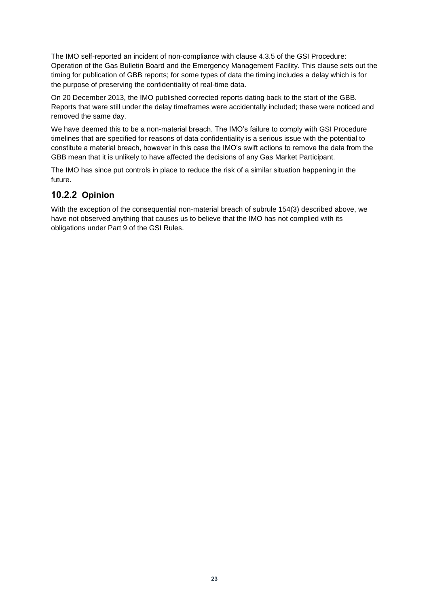The IMO self-reported an incident of non-compliance with clause 4.3.5 of the GSI Procedure: Operation of the Gas Bulletin Board and the Emergency Management Facility. This clause sets out the timing for publication of GBB reports; for some types of data the timing includes a delay which is for the purpose of preserving the confidentiality of real-time data.

On 20 December 2013, the IMO published corrected reports dating back to the start of the GBB. Reports that were still under the delay timeframes were accidentally included; these were noticed and removed the same day.

We have deemed this to be a non-material breach. The IMO's failure to comply with GSI Procedure timelines that are specified for reasons of data confidentiality is a serious issue with the potential to constitute a material breach, however in this case the IMO's swift actions to remove the data from the GBB mean that it is unlikely to have affected the decisions of any Gas Market Participant.

The IMO has since put controls in place to reduce the risk of a similar situation happening in the future.

### **10.2.2 Opinion**

With the exception of the consequential non-material breach of subrule 154(3) described above, we have not observed anything that causes us to believe that the IMO has not complied with its obligations under Part 9 of the GSI Rules.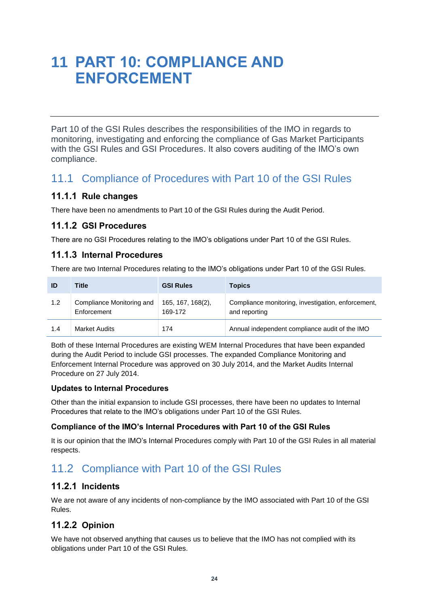# <span id="page-25-0"></span>**11 PART 10: COMPLIANCE AND ENFORCEMENT**

Part 10 of the GSI Rules describes the responsibilities of the IMO in regards to monitoring, investigating and enforcing the compliance of Gas Market Participants with the GSI Rules and GSI Procedures. It also covers auditing of the IMO's own compliance.

## <span id="page-25-1"></span>11.1 Compliance of Procedures with Part 10 of the GSI Rules

### **11.1.1 Rule changes**

There have been no amendments to Part 10 of the GSI Rules during the Audit Period.

#### **11.1.2 GSI Procedures**

There are no GSI Procedures relating to the IMO's obligations under Part 10 of the GSI Rules.

### **11.1.3 Internal Procedures**

There are two Internal Procedures relating to the IMO's obligations under Part 10 of the GSI Rules.

| ID  | Title                                    | <b>GSI Rules</b>             | <b>Topics</b>                                                       |
|-----|------------------------------------------|------------------------------|---------------------------------------------------------------------|
| 1.2 | Compliance Monitoring and<br>Enforcement | 165, 167, 168(2),<br>169-172 | Compliance monitoring, investigation, enforcement,<br>and reporting |
| 1.4 | <b>Market Audits</b>                     | 174                          | Annual independent compliance audit of the IMO                      |

Both of these Internal Procedures are existing WEM Internal Procedures that have been expanded during the Audit Period to include GSI processes. The expanded Compliance Monitoring and Enforcement Internal Procedure was approved on 30 July 2014, and the Market Audits Internal Procedure on 27 July 2014.

#### **Updates to Internal Procedures**

Other than the initial expansion to include GSI processes, there have been no updates to Internal Procedures that relate to the IMO's obligations under Part 10 of the GSI Rules.

#### **Compliance of the IMO's Internal Procedures with Part 10 of the GSI Rules**

It is our opinion that the IMO's Internal Procedures comply with Part 10 of the GSI Rules in all material respects.

# <span id="page-25-2"></span>11.2 Compliance with Part 10 of the GSI Rules

### **11.2.1 Incidents**

We are not aware of any incidents of non-compliance by the IMO associated with Part 10 of the GSI Rules.

## **11.2.2 Opinion**

We have not observed anything that causes us to believe that the IMO has not complied with its obligations under Part 10 of the GSI Rules.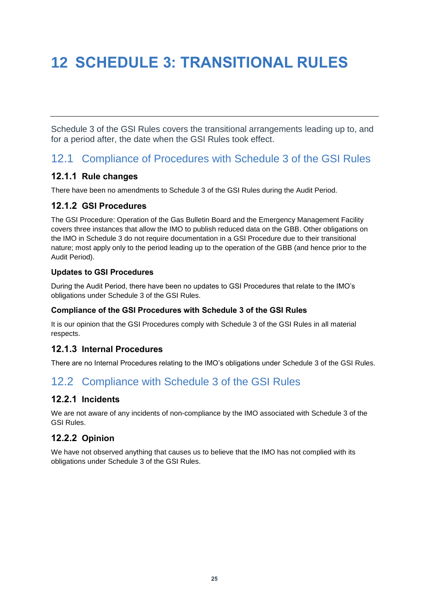# <span id="page-26-0"></span>**12 SCHEDULE 3: TRANSITIONAL RULES**

Schedule 3 of the GSI Rules covers the transitional arrangements leading up to, and for a period after, the date when the GSI Rules took effect.

## <span id="page-26-1"></span>12.1 Compliance of Procedures with Schedule 3 of the GSI Rules

#### **12.1.1 Rule changes**

There have been no amendments to Schedule 3 of the GSI Rules during the Audit Period.

### **12.1.2 GSI Procedures**

The GSI Procedure: Operation of the Gas Bulletin Board and the Emergency Management Facility covers three instances that allow the IMO to publish reduced data on the GBB. Other obligations on the IMO in Schedule 3 do not require documentation in a GSI Procedure due to their transitional nature; most apply only to the period leading up to the operation of the GBB (and hence prior to the Audit Period).

#### **Updates to GSI Procedures**

During the Audit Period, there have been no updates to GSI Procedures that relate to the IMO's obligations under Schedule 3 of the GSI Rules.

#### **Compliance of the GSI Procedures with Schedule 3 of the GSI Rules**

It is our opinion that the GSI Procedures comply with Schedule 3 of the GSI Rules in all material respects.

### **12.1.3 Internal Procedures**

There are no Internal Procedures relating to the IMO's obligations under Schedule 3 of the GSI Rules.

# <span id="page-26-2"></span>12.2 Compliance with Schedule 3 of the GSI Rules

### **12.2.1 Incidents**

We are not aware of any incidents of non-compliance by the IMO associated with Schedule 3 of the GSI Rules.

### **12.2.2 Opinion**

We have not observed anything that causes us to believe that the IMO has not complied with its obligations under Schedule 3 of the GSI Rules.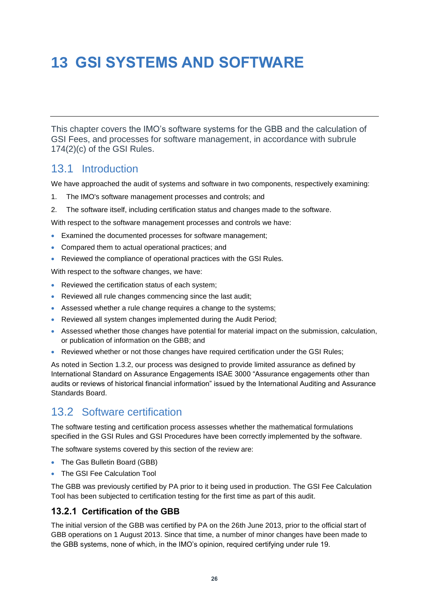# <span id="page-27-0"></span>**13 GSI SYSTEMS AND SOFTWARE**

This chapter covers the IMO's software systems for the GBB and the calculation of GSI Fees, and processes for software management, in accordance with subrule 174(2)(c) of the GSI Rules.

## <span id="page-27-1"></span>13.1 Introduction

We have approached the audit of systems and software in two components, respectively examining:

- 1. The IMO's software management processes and controls; and
- 2. The software itself, including certification status and changes made to the software.

With respect to the software management processes and controls we have:

- Examined the documented processes for software management;
- Compared them to actual operational practices; and
- Reviewed the compliance of operational practices with the GSI Rules.

With respect to the software changes, we have:

- Reviewed the certification status of each system;
- Reviewed all rule changes commencing since the last audit;
- Assessed whether a rule change requires a change to the systems;
- Reviewed all system changes implemented during the Audit Period;
- Assessed whether those changes have potential for material impact on the submission, calculation, or publication of information on the GBB; and
- Reviewed whether or not those changes have required certification under the GSI Rules;

As noted in Section [1.3.2,](#page-8-2) our process was designed to provide limited assurance as defined by International Standard on Assurance Engagements ISAE 3000 "Assurance engagements other than audits or reviews of historical financial information" issued by the International Auditing and Assurance Standards Board.

# <span id="page-27-2"></span>13.2 Software certification

The software testing and certification process assesses whether the mathematical formulations specified in the GSI Rules and GSI Procedures have been correctly implemented by the software.

The software systems covered by this section of the review are:

- The Gas Bulletin Board (GBB)
- The GSI Fee Calculation Tool

The GBB was previously certified by PA prior to it being used in production. The GSI Fee Calculation Tool has been subjected to certification testing for the first time as part of this audit.

#### **13.2.1 Certification of the GBB**

The initial version of the GBB was certified by PA on the 26th June 2013, prior to the official start of GBB operations on 1 August 2013. Since that time, a number of minor changes have been made to the GBB systems, none of which, in the IMO's opinion, required certifying under rule 19.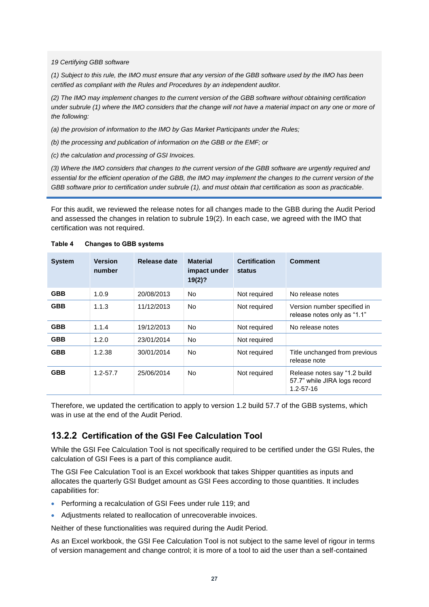*19 Certifying GBB software*

*(1) Subject to this rule, the IMO must ensure that any version of the GBB software used by the IMO has been certified as compliant with the Rules and Procedures by an independent auditor.*

*(2) The IMO may implement changes to the current version of the GBB software without obtaining certification*  under subrule (1) where the IMO considers that the change will not have a material impact on any one or more of *the following:*

*(a) the provision of information to the IMO by Gas Market Participants under the Rules;*

*(b) the processing and publication of information on the GBB or the EMF; or*

*(c) the calculation and processing of GSI Invoices.*

*(3) Where the IMO considers that changes to the current version of the GBB software are urgently required and essential for the efficient operation of the GBB, the IMO may implement the changes to the current version of the GBB software prior to certification under subrule (1), and must obtain that certification as soon as practicable.*

For this audit, we reviewed the release notes for all changes made to the GBB during the Audit Period and assessed the changes in relation to subrule 19(2). In each case, we agreed with the IMO that certification was not required.

| <b>System</b> | <b>Version</b><br>number | Release date | <b>Material</b><br>impact under<br>19(2)? | <b>Certification</b><br>status | <b>Comment</b>                                                                  |
|---------------|--------------------------|--------------|-------------------------------------------|--------------------------------|---------------------------------------------------------------------------------|
| <b>GBB</b>    | 1.0.9                    | 20/08/2013   | No.                                       | Not required                   | No release notes                                                                |
| <b>GBB</b>    | 1.1.3                    | 11/12/2013   | No                                        | Not required                   | Version number specified in<br>release notes only as "1.1"                      |
| <b>GBB</b>    | 1.1.4                    | 19/12/2013   | No.                                       | Not required                   | No release notes                                                                |
| <b>GBB</b>    | 1.2.0                    | 23/01/2014   | No.                                       | Not required                   |                                                                                 |
| <b>GBB</b>    | 1.2.38                   | 30/01/2014   | <b>No</b>                                 | Not required                   | Title unchanged from previous<br>release note                                   |
| <b>GBB</b>    | $1.2 - 57.7$             | 25/06/2014   | <b>No</b>                                 | Not required                   | Release notes say "1.2 build<br>57.7" while JIRA logs record<br>$1.2 - 57 - 16$ |

<span id="page-28-0"></span>**Table 4 Changes to GBB systems**

Therefore, we updated the certification to apply to version 1.2 build 57.7 of the GBB systems, which was in use at the end of the Audit Period.

#### **13.2.2 Certification of the GSI Fee Calculation Tool**

While the GSI Fee Calculation Tool is not specifically required to be certified under the GSI Rules, the calculation of GSI Fees is a part of this compliance audit.

The GSI Fee Calculation Tool is an Excel workbook that takes Shipper quantities as inputs and allocates the quarterly GSI Budget amount as GSI Fees according to those quantities. It includes capabilities for:

- Performing a recalculation of GSI Fees under rule 119; and
- Adjustments related to reallocation of unrecoverable invoices.

Neither of these functionalities was required during the Audit Period.

As an Excel workbook, the GSI Fee Calculation Tool is not subject to the same level of rigour in terms of version management and change control; it is more of a tool to aid the user than a self-contained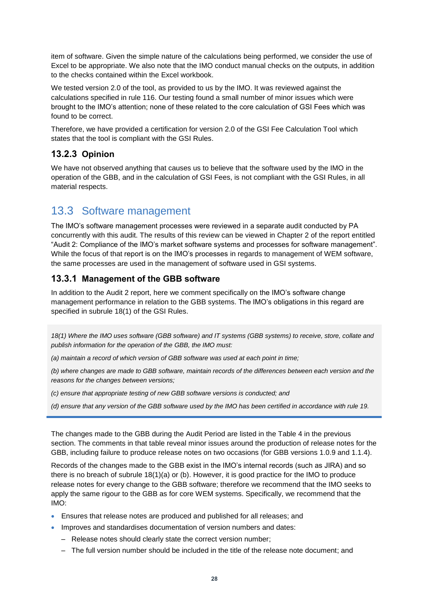item of software. Given the simple nature of the calculations being performed, we consider the use of Excel to be appropriate. We also note that the IMO conduct manual checks on the outputs, in addition to the checks contained within the Excel workbook.

We tested version 2.0 of the tool, as provided to us by the IMO. It was reviewed against the calculations specified in rule 116. Our testing found a small number of minor issues which were brought to the IMO's attention; none of these related to the core calculation of GSI Fees which was found to be correct.

Therefore, we have provided a certification for version 2.0 of the GSI Fee Calculation Tool which states that the tool is compliant with the GSI Rules.

### **13.2.3 Opinion**

We have not observed anything that causes us to believe that the software used by the IMO in the operation of the GBB, and in the calculation of GSI Fees, is not compliant with the GSI Rules, in all material respects.

## <span id="page-29-0"></span>13.3 Software management

The IMO's software management processes were reviewed in a separate audit conducted by PA concurrently with this audit. The results of this review can be viewed in Chapter 2 of the report entitled "Audit 2: Compliance of the IMO's market software systems and processes for software management". While the focus of that report is on the IMO's processes in regards to management of WEM software, the same processes are used in the management of software used in GSI systems.

#### **13.3.1 Management of the GBB software**

In addition to the Audit 2 report, here we comment specifically on the IMO's software change management performance in relation to the GBB systems. The IMO's obligations in this regard are specified in subrule 18(1) of the GSI Rules.

*18(1) Where the IMO uses software (GBB software) and IT systems (GBB systems) to receive, store, collate and publish information for the operation of the GBB, the IMO must:*

*(a) maintain a record of which version of GBB software was used at each point in time;*

*(b) where changes are made to GBB software, maintain records of the differences between each version and the reasons for the changes between versions;*

*(c) ensure that appropriate testing of new GBB software versions is conducted; and*

*(d) ensure that any version of the GBB software used by the IMO has been certified in accordance with rule 19.*

The changes made to the GBB during the Audit Period are listed in the [Table 4](#page-28-0) in the previous section. The comments in that table reveal minor issues around the production of release notes for the GBB, including failure to produce release notes on two occasions (for GBB versions 1.0.9 and 1.1.4).

Records of the changes made to the GBB exist in the IMO's internal records (such as JIRA) and so there is no breach of subrule 18(1)(a) or (b). However, it is good practice for the IMO to produce release notes for every change to the GBB software; therefore we recommend that the IMO seeks to apply the same rigour to the GBB as for core WEM systems. Specifically, we recommend that the IMO:

- Ensures that release notes are produced and published for all releases; and
- Improves and standardises documentation of version numbers and dates:
	- Release notes should clearly state the correct version number;
	- The full version number should be included in the title of the release note document; and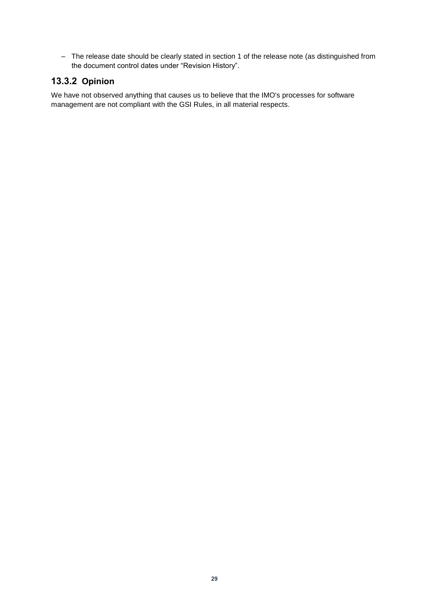– The release date should be clearly stated in section 1 of the release note (as distinguished from the document control dates under "Revision History".

## **13.3.2 Opinion**

We have not observed anything that causes us to believe that the IMO's processes for software management are not compliant with the GSI Rules, in all material respects.